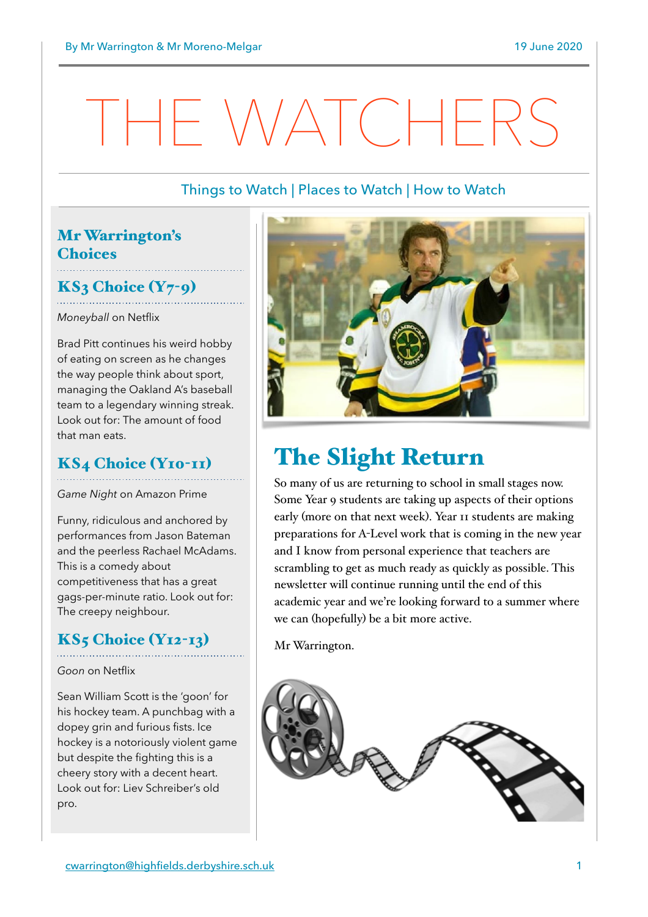# HE WATCHERS

## Things to Watch | Places to Watch | How to Watch

# Mr Warrington's **Choices**

# $KS<sub>3</sub> Choice (Y<sub>7</sub>-<sub>9</sub>)$

*Moneyball* on Netflix

Brad Pitt continues his weird hobby of eating on screen as he changes the way people think about sport, managing the Oakland A's baseball team to a legendary winning streak. Look out for: The amount of food that man eats.

# KS4 Choice (Y10-11)

*Game Night* on Amazon Prime

Funny, ridiculous and anchored by performances from Jason Bateman and the peerless Rachael McAdams. This is a comedy about competitiveness that has a great gags-per-minute ratio. Look out for: The creepy neighbour.

# $KS<sub>5</sub> Choice (Y<sub>12-13</sub>)$

*Goon* on Netflix

Sean William Scott is the 'goon' for his hockey team. A punchbag with a dopey grin and furious fists. Ice hockey is a notoriously violent game but despite the fighting this is a cheery story with a decent heart. Look out for: Liev Schreiber's old pro.



# The Slight Return

So many of us are returning to school in small stages now. Some Year 9 students are taking up aspects of their options early (more on that next week). Year 11 students are making preparations for A-Level work that is coming in the new year and I know from personal experience that teachers are scrambling to get as much ready as quickly as possible. This newsletter will continue running until the end of this academic year and we're looking forward to a summer where we can (hopefully) be a bit more active.

Mr Warrington.